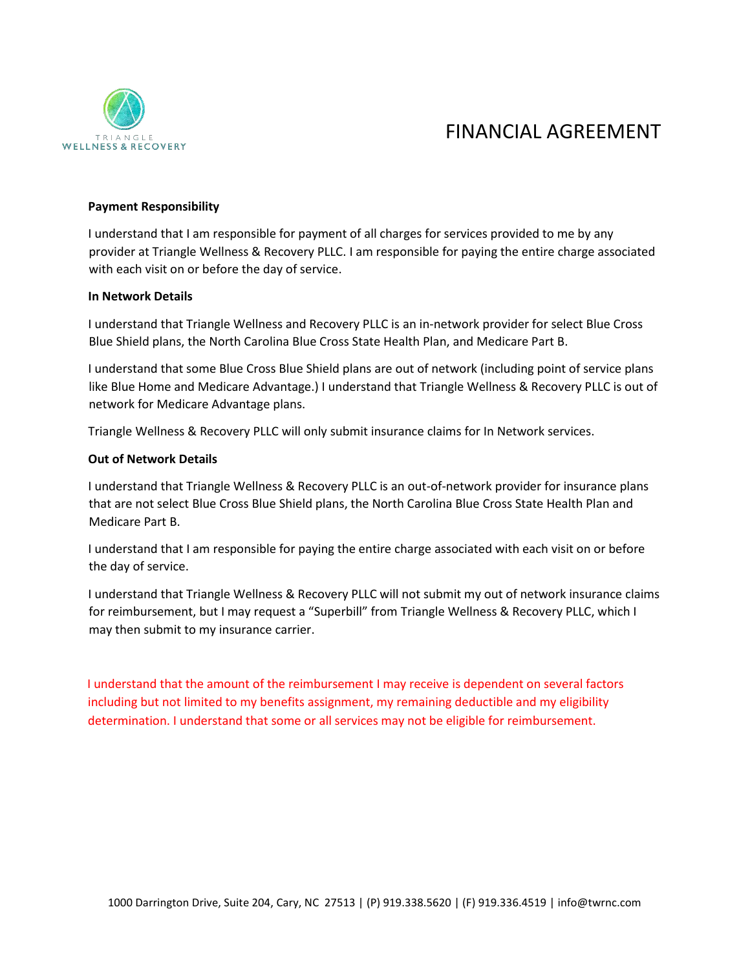

# FINANCIAL AGREEMENT

## **Payment Responsibility**

I understand that I am responsible for payment of all charges for services provided to me by any provider at Triangle Wellness & Recovery PLLC. I am responsible for paying the entire charge associated with each visit on or before the day of service.

#### **In Network Details**

I understand that Triangle Wellness and Recovery PLLC is an in-network provider for select Blue Cross Blue Shield plans, the North Carolina Blue Cross State Health Plan, and Medicare Part B.

I understand that some Blue Cross Blue Shield plans are out of network (including point of service plans like Blue Home and Medicare Advantage.) I understand that Triangle Wellness & Recovery PLLC is out of network for Medicare Advantage plans.

Triangle Wellness & Recovery PLLC will only submit insurance claims for In Network services.

## **Out of Network Details**

I understand that Triangle Wellness & Recovery PLLC is an out-of-network provider for insurance plans that are not select Blue Cross Blue Shield plans, the North Carolina Blue Cross State Health Plan and Medicare Part B.

I understand that I am responsible for paying the entire charge associated with each visit on or before the day of service.

I understand that Triangle Wellness & Recovery PLLC will not submit my out of network insurance claims for reimbursement, but I may request a "Superbill" from Triangle Wellness & Recovery PLLC, which I may then submit to my insurance carrier.

I understand that the amount of the reimbursement I may receive is dependent on several factors including but not limited to my benefits assignment, my remaining deductible and my eligibility determination. I understand that some or all services may not be eligible for reimbursement.